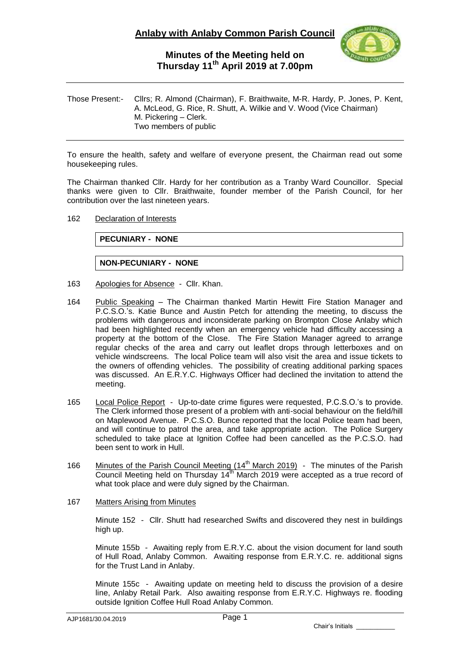

# **Minutes of the Meeting held on Thursday 11 th April 2019 at 7.00pm**

Those Present:- Cllrs; R. Almond (Chairman), F. Braithwaite, M-R. Hardy, P. Jones, P. Kent, A. McLeod, G. Rice, R. Shutt, A. Wilkie and V. Wood (Vice Chairman) M. Pickering – Clerk. Two members of public

To ensure the health, safety and welfare of everyone present, the Chairman read out some housekeeping rules.

The Chairman thanked Cllr. Hardy for her contribution as a Tranby Ward Councillor. Special thanks were given to Cllr. Braithwaite, founder member of the Parish Council, for her contribution over the last nineteen years.

### 162 Declaration of Interests

**PECUNIARY - NONE**

## **NON-PECUNIARY - NONE**

- 163 Apologies for Absence Cllr. Khan.
- 164 Public Speaking The Chairman thanked Martin Hewitt Fire Station Manager and P.C.S.O.'s. Katie Bunce and Austin Petch for attending the meeting, to discuss the problems with dangerous and inconsiderate parking on Brompton Close Anlaby which had been highlighted recently when an emergency vehicle had difficulty accessing a property at the bottom of the Close. The Fire Station Manager agreed to arrange regular checks of the area and carry out leaflet drops through letterboxes and on vehicle windscreens. The local Police team will also visit the area and issue tickets to the owners of offending vehicles. The possibility of creating additional parking spaces was discussed. An E.R.Y.C. Highways Officer had declined the invitation to attend the meeting.
- 165 Local Police Report Up-to-date crime figures were requested, P.C.S.O.'s to provide. The Clerk informed those present of a problem with anti-social behaviour on the field/hill on Maplewood Avenue. P.C.S.O. Bunce reported that the local Police team had been, and will continue to patrol the area, and take appropriate action. The Police Surgery scheduled to take place at Ignition Coffee had been cancelled as the P.C.S.O. had been sent to work in Hull.
- 166 Minutes of the Parish Council Meeting (14<sup>th</sup> March 2019) The minutes of the Parish Council Meeting held on Thursday 14<sup>th</sup> March 2019 were accepted as a true record of what took place and were duly signed by the Chairman.
- 167 Matters Arising from Minutes

Minute 152 - Cllr. Shutt had researched Swifts and discovered they nest in buildings high up.

Minute 155b - Awaiting reply from E.R.Y.C. about the vision document for land south of Hull Road, Anlaby Common. Awaiting response from E.R.Y.C. re. additional signs for the Trust Land in Anlaby.

Minute 155c - Awaiting update on meeting held to discuss the provision of a desire line, Anlaby Retail Park. Also awaiting response from E.R.Y.C. Highways re. flooding outside Ignition Coffee Hull Road Anlaby Common.

Chair's Initials \_\_\_\_\_\_\_\_\_\_\_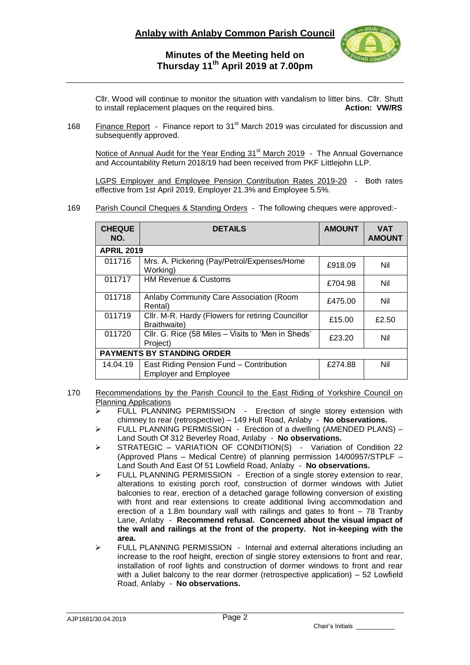

# **Minutes of the Meeting held on Thursday 11 th April 2019 at 7.00pm**

Cllr. Wood will continue to monitor the situation with vandalism to litter bins. Cllr. Shutt to install replacement plaques on the required bins. **Action: VW/RS** to install replacement plaques on the required bins.

168 Finance Report - Finance report to 31<sup>st</sup> March 2019 was circulated for discussion and subsequently approved.

Notice of Annual Audit for the Year Ending  $31<sup>st</sup>$  March 2019 - The Annual Governance and Accountability Return 2018/19 had been received from PKF Littlejohn LLP.

LGPS Employer and Employee Pension Contribution Rates 2019-20 - Both rates effective from 1st April 2019, Employer 21.3% and Employee 5.5%.

169 Parish Council Cheques & Standing Orders - The following cheques were approved:-

| <b>CHEQUE</b><br>NO.              | <b>DETAILS</b>                                                          | <b>AMOUNT</b> | <b>VAT</b><br><b>AMOUNT</b> |
|-----------------------------------|-------------------------------------------------------------------------|---------------|-----------------------------|
| <b>APRIL 2019</b>                 |                                                                         |               |                             |
| 011716                            | Mrs. A. Pickering (Pay/Petrol/Expenses/Home<br>Working)                 | £918.09       | Nil                         |
| 011717                            | <b>HM Revenue &amp; Customs</b>                                         | £704.98       | Nil                         |
| 011718                            | Anlaby Community Care Association (Room<br>Rental)                      | £475.00       | Nil                         |
| 011719                            | Cllr. M-R. Hardy (Flowers for retiring Councillor<br>Braithwaite)       | £15.00        | £2.50                       |
| 011720                            | CIIr. G. Rice (58 Miles - Visits to 'Men in Sheds'<br>Project)          | £23.20        | Nil                         |
| <b>PAYMENTS BY STANDING ORDER</b> |                                                                         |               |                             |
| 14.04.19                          | East Riding Pension Fund - Contribution<br><b>Employer and Employee</b> | £274.88       | Nil                         |

- 170 Recommendations by the Parish Council to the East Riding of Yorkshire Council on Planning Applications
	- $\triangleright$  FULL PLANNING PERMISSION Erection of single storey extension with chimney to rear (retrospective) – 149 Hull Road, Anlaby - **No observations.**
	- $\triangleright$  FULL PLANNING PERMISSION Erection of a dwelling (AMENDED PLANS) Land South Of 312 Beverley Road, Anlaby - **No observations.**
	- > STRATEGIC VARIATION OF CONDITION(S) Variation of Condition 22 (Approved Plans – Medical Centre) of planning permission 14/00957/STPLF – Land South And East Of 51 Lowfield Road, Anlaby - **No observations.**
	- > FULL PLANNING PERMISSION Erection of a single storey extension to rear, alterations to existing porch roof, construction of dormer windows with Juliet balconies to rear, erection of a detached garage following conversion of existing with front and rear extensions to create additional living accommodation and erection of a 1.8m boundary wall with railings and gates to front – 78 Tranby Lane, Anlaby - **Recommend refusal. Concerned about the visual impact of the wall and railings at the front of the property. Not in-keeping with the area.**
	- $\triangleright$  FULL PLANNING PERMISSION Internal and external alterations including an increase to the roof height, erection of single storey extensions to front and rear, installation of roof lights and construction of dormer windows to front and rear with a Juliet balcony to the rear dormer (retrospective application) – 52 Lowfield Road, Anlaby - **No observations.**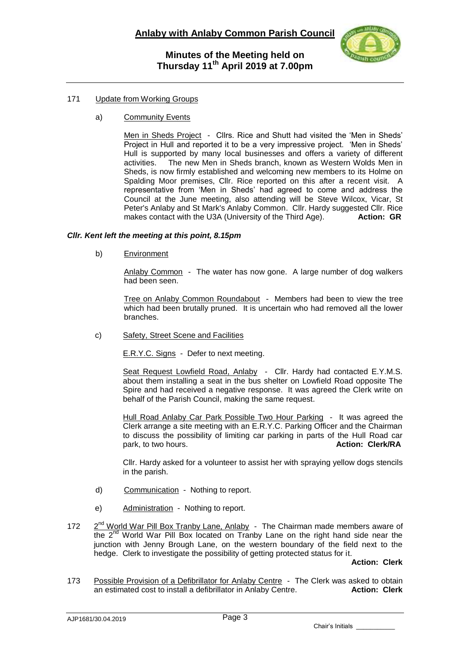

## 171 Update from Working Groups

a) Community Events

Men in Sheds Project - Cllrs. Rice and Shutt had visited the 'Men in Sheds' Project in Hull and reported it to be a very impressive project. 'Men in Sheds' Hull is supported by many local businesses and offers a variety of different activities. The new Men in Sheds branch known as Western Wolds Men in The new Men in Sheds branch, known as Western Wolds Men in Sheds, is now firmly established and welcoming new members to its Holme on Spalding Moor premises, Cllr. Rice reported on this after a recent visit. A representative from 'Men in Sheds' had agreed to come and address the Council at the June meeting, also attending will be Steve Wilcox, Vicar, St Peter's Anlaby and St Mark's Anlaby Common. Cllr. Hardy suggested Cllr. Rice makes contact with the U3A (University of the Third Age). **Action: GR** 

### *Cllr. Kent left the meeting at this point, 8.15pm*

b) Environment

Anlaby Common - The water has now gone. A large number of dog walkers had been seen.

Tree on Anlaby Common Roundabout - Members had been to view the tree which had been brutally pruned. It is uncertain who had removed all the lower branches.

c) Safety, Street Scene and Facilities

E.R.Y.C. Signs - Defer to next meeting.

Seat Request Lowfield Road, Anlaby - Cllr. Hardy had contacted E.Y.M.S. about them installing a seat in the bus shelter on Lowfield Road opposite The Spire and had received a negative response. It was agreed the Clerk write on behalf of the Parish Council, making the same request.

Hull Road Anlaby Car Park Possible Two Hour Parking - It was agreed the Clerk arrange a site meeting with an E.R.Y.C. Parking Officer and the Chairman to discuss the possibility of limiting car parking in parts of the Hull Road car<br>park, to two hours, **Action: Clerk/RA** park, to two hours.

Cllr. Hardy asked for a volunteer to assist her with spraying yellow dogs stencils in the parish.

- d) Communication Nothing to report.
- e) Administration Nothing to report.
- 172  $2<sup>nd</sup>$  World War Pill Box Tranby Lane, Anlaby  $-$  The Chairman made members aware of the 2<sup>nd</sup> World War Pill Box located on Tranby Lane on the right hand side near the junction with Jenny Brough Lane, on the western boundary of the field next to the hedge. Clerk to investigate the possibility of getting protected status for it.

**Action: Clerk**

173 Possible Provision of a Defibrillator for Anlaby Centre - The Clerk was asked to obtain an estimated cost to install a defibrillator in Anlaby Centre. **Action: Clerk**